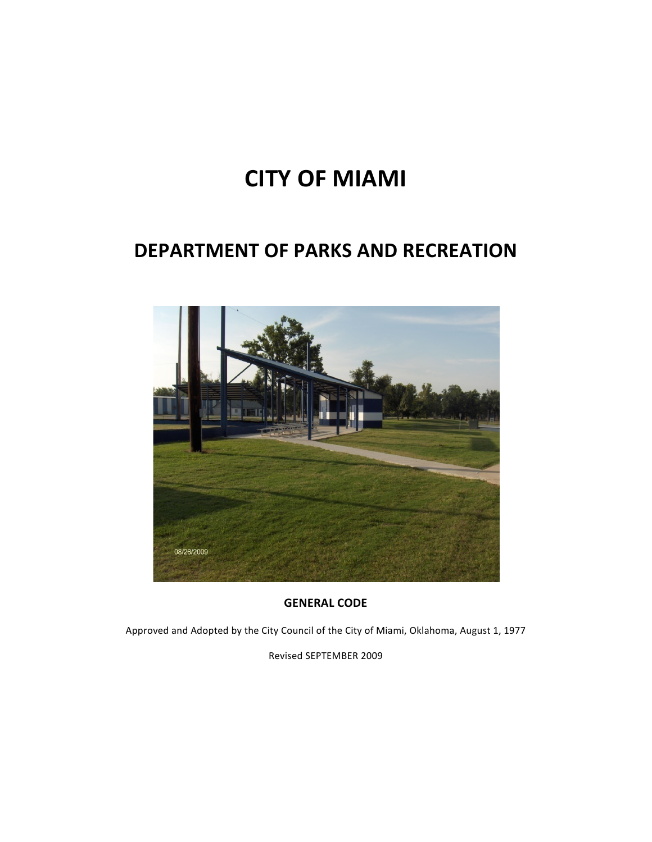# **CITY OF MIAMI**

# **DEPARTMENT OF PARKS AND RECREATION**



**GENERAL CODE**

Approved and Adopted by the City Council of the City of Miami, Oklahoma, August 1, 1977

Revised SEPTEMBER 2009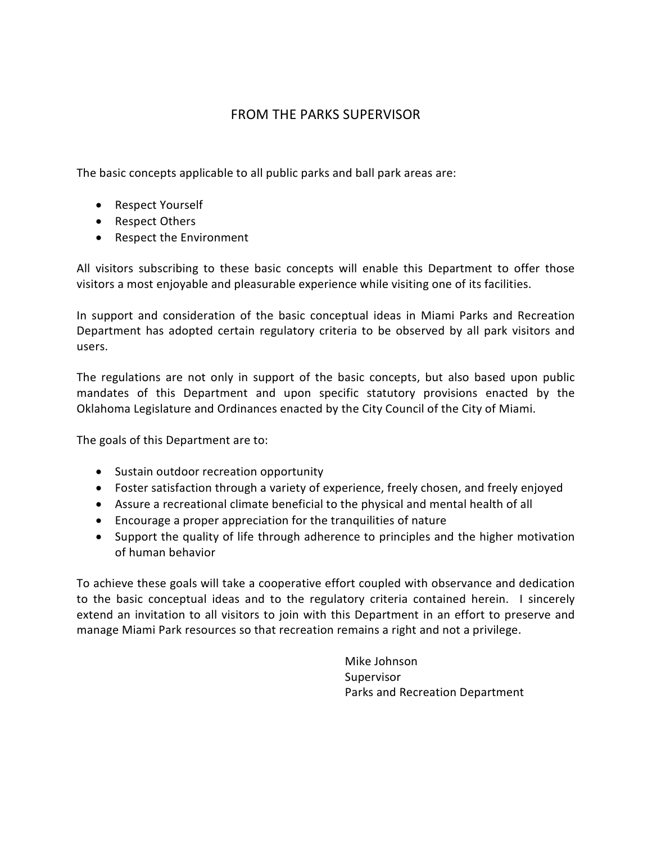# FROM THE PARKS SUPERVISOR

The basic concepts applicable to all public parks and ball park areas are:

- Respect Yourself
- Respect Others
- Respect the Environment

All visitors subscribing to these basic concepts will enable this Department to offer those visitors a most enjoyable and pleasurable experience while visiting one of its facilities.

In support and consideration of the basic conceptual ideas in Miami Parks and Recreation Department has adopted certain regulatory criteria to be observed by all park visitors and users.

The regulations are not only in support of the basic concepts, but also based upon public mandates of this Department and upon specific statutory provisions enacted by the Oklahoma Legislature and Ordinances enacted by the City Council of the City of Miami.

The goals of this Department are to:

- Sustain outdoor recreation opportunity
- Foster satisfaction through a variety of experience, freely chosen, and freely enjoyed
- Assure a recreational climate beneficial to the physical and mental health of all
- Encourage a proper appreciation for the tranquilities of nature
- Support the quality of life through adherence to principles and the higher motivation of human behavior

To achieve these goals will take a cooperative effort coupled with observance and dedication to the basic conceptual ideas and to the regulatory criteria contained herein. I sincerely extend an invitation to all visitors to join with this Department in an effort to preserve and manage Miami Park resources so that recreation remains a right and not a privilege.

> Mike Johnson Supervisor Parks and Recreation Department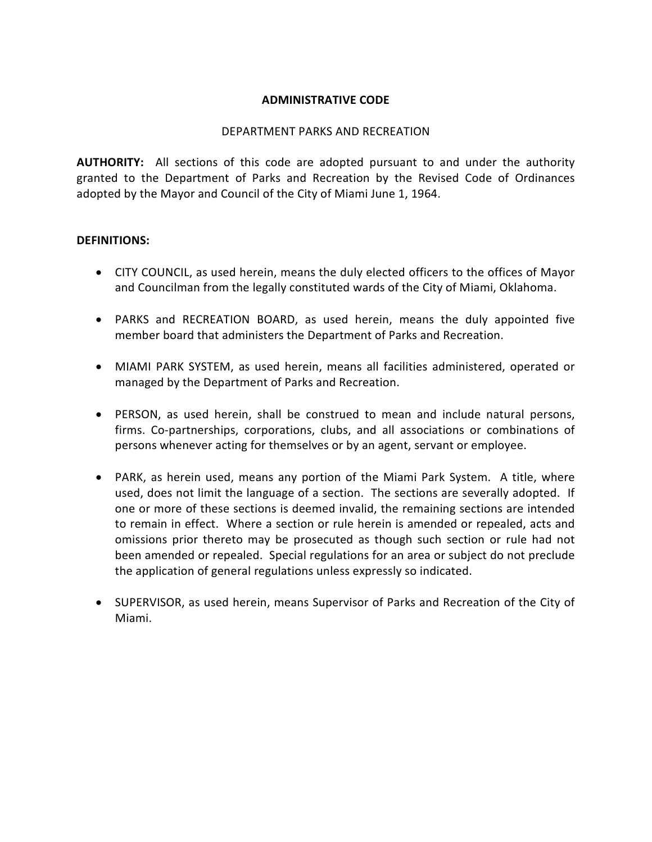#### **ADMINISTRATIVE CODE**

#### DEPARTMENT PARKS AND RECREATION

**AUTHORITY:** All sections of this code are adopted pursuant to and under the authority granted to the Department of Parks and Recreation by the Revised Code of Ordinances adopted by the Mayor and Council of the City of Miami June 1, 1964.

#### **DEFINITIONS:**

- CITY COUNCIL, as used herein, means the duly elected officers to the offices of Mayor and Councilman from the legally constituted wards of the City of Miami, Oklahoma.
- PARKS and RECREATION BOARD, as used herein, means the duly appointed five member board that administers the Department of Parks and Recreation.
- MIAMI PARK SYSTEM, as used herein, means all facilities administered, operated or managed by the Department of Parks and Recreation.
- PERSON, as used herein, shall be construed to mean and include natural persons, firms. Co-partnerships, corporations, clubs, and all associations or combinations of persons whenever acting for themselves or by an agent, servant or employee.
- PARK, as herein used, means any portion of the Miami Park System. A title, where used, does not limit the language of a section. The sections are severally adopted. If one or more of these sections is deemed invalid, the remaining sections are intended to remain in effect. Where a section or rule herein is amended or repealed, acts and omissions prior thereto may be prosecuted as though such section or rule had not been amended or repealed. Special regulations for an area or subject do not preclude the application of general regulations unless expressly so indicated.
- SUPERVISOR, as used herein, means Supervisor of Parks and Recreation of the City of Miami.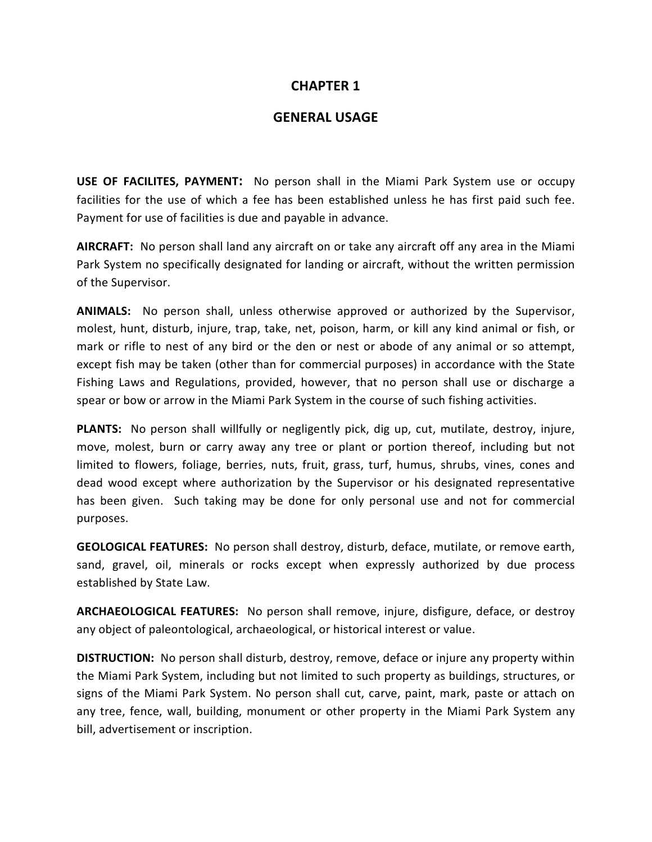#### **GENERAL USAGE**

**USE OF FACILITES, PAYMENT:** No person shall in the Miami Park System use or occupy facilities for the use of which a fee has been established unless he has first paid such fee. Payment for use of facilities is due and payable in advance.

**AIRCRAFT:** No person shall land any aircraft on or take any aircraft off any area in the Miami Park System no specifically designated for landing or aircraft, without the written permission of the Supervisor.

**ANIMALS:** No person shall, unless otherwise approved or authorized by the Supervisor, molest, hunt, disturb, injure, trap, take, net, poison, harm, or kill any kind animal or fish, or mark or rifle to nest of any bird or the den or nest or abode of any animal or so attempt, except fish may be taken (other than for commercial purposes) in accordance with the State Fishing Laws and Regulations, provided, however, that no person shall use or discharge a spear or bow or arrow in the Miami Park System in the course of such fishing activities.

**PLANTS:** No person shall willfully or negligently pick, dig up, cut, mutilate, destroy, injure, move, molest, burn or carry away any tree or plant or portion thereof, including but not limited to flowers, foliage, berries, nuts, fruit, grass, turf, humus, shrubs, vines, cones and dead wood except where authorization by the Supervisor or his designated representative has been given. Such taking may be done for only personal use and not for commercial purposes.

**GEOLOGICAL FEATURES:** No person shall destroy, disturb, deface, mutilate, or remove earth, sand, gravel, oil, minerals or rocks except when expressly authorized by due process established by State Law.

**ARCHAEOLOGICAL FEATURES:** No person shall remove, injure, disfigure, deface, or destroy any object of paleontological, archaeological, or historical interest or value.

**DISTRUCTION:** No person shall disturb, destroy, remove, deface or injure any property within the Miami Park System, including but not limited to such property as buildings, structures, or signs of the Miami Park System. No person shall cut, carve, paint, mark, paste or attach on any tree, fence, wall, building, monument or other property in the Miami Park System any bill, advertisement or inscription.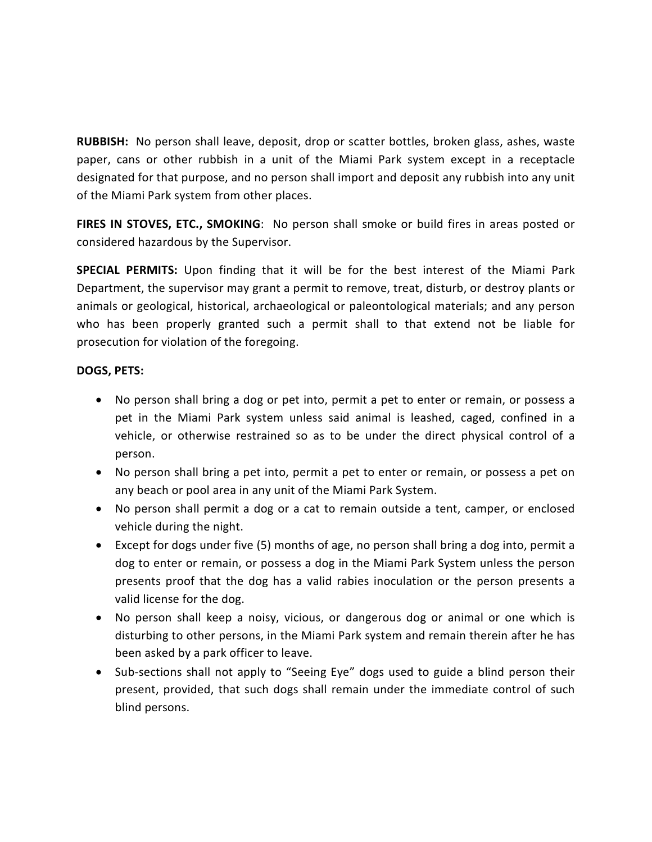**RUBBISH:** No person shall leave, deposit, drop or scatter bottles, broken glass, ashes, waste paper, cans or other rubbish in a unit of the Miami Park system except in a receptacle designated for that purpose, and no person shall import and deposit any rubbish into any unit of the Miami Park system from other places.

**FIRES IN STOVES, ETC., SMOKING**: No person shall smoke or build fires in areas posted or considered hazardous by the Supervisor.

**SPECIAL PERMITS:** Upon finding that it will be for the best interest of the Miami Park Department, the supervisor may grant a permit to remove, treat, disturb, or destroy plants or animals or geological, historical, archaeological or paleontological materials; and any person who has been properly granted such a permit shall to that extend not be liable for prosecution for violation of the foregoing.

#### **DOGS, PETS:**

- No person shall bring a dog or pet into, permit a pet to enter or remain, or possess a pet in the Miami Park system unless said animal is leashed, caged, confined in a vehicle, or otherwise restrained so as to be under the direct physical control of a person.
- No person shall bring a pet into, permit a pet to enter or remain, or possess a pet on any beach or pool area in any unit of the Miami Park System.
- No person shall permit a dog or a cat to remain outside a tent, camper, or enclosed vehicle during the night.
- Except for dogs under five (5) months of age, no person shall bring a dog into, permit a dog to enter or remain, or possess a dog in the Miami Park System unless the person presents proof that the dog has a valid rabies inoculation or the person presents a valid license for the dog.
- No person shall keep a noisy, vicious, or dangerous dog or animal or one which is disturbing to other persons, in the Miami Park system and remain therein after he has been asked by a park officer to leave.
- Sub-sections shall not apply to "Seeing Eye" dogs used to guide a blind person their present, provided, that such dogs shall remain under the immediate control of such blind persons.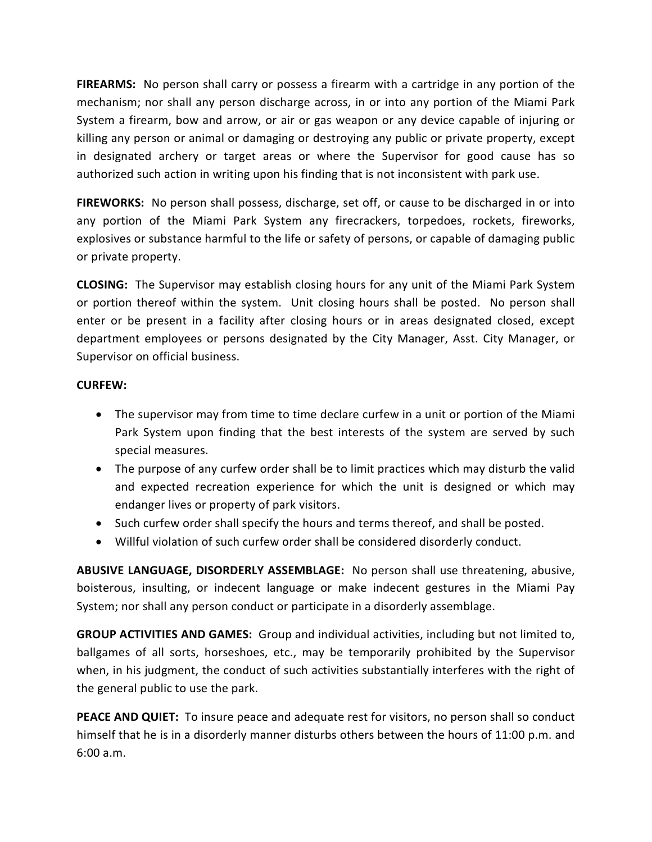**FIREARMS:** No person shall carry or possess a firearm with a cartridge in any portion of the mechanism; nor shall any person discharge across, in or into any portion of the Miami Park System a firearm, bow and arrow, or air or gas weapon or any device capable of injuring or killing any person or animal or damaging or destroying any public or private property, except in designated archery or target areas or where the Supervisor for good cause has so authorized such action in writing upon his finding that is not inconsistent with park use.

**FIREWORKS:** No person shall possess, discharge, set off, or cause to be discharged in or into any portion of the Miami Park System any firecrackers, torpedoes, rockets, fireworks, explosives or substance harmful to the life or safety of persons, or capable of damaging public or private property.

**CLOSING:** The Supervisor may establish closing hours for any unit of the Miami Park System or portion thereof within the system. Unit closing hours shall be posted. No person shall enter or be present in a facility after closing hours or in areas designated closed, except department employees or persons designated by the City Manager, Asst. City Manager, or Supervisor on official business.

#### **CURFEW:**

- The supervisor may from time to time declare curfew in a unit or portion of the Miami Park System upon finding that the best interests of the system are served by such special measures.
- The purpose of any curfew order shall be to limit practices which may disturb the valid and expected recreation experience for which the unit is designed or which may endanger lives or property of park visitors.
- Such curfew order shall specify the hours and terms thereof, and shall be posted.
- Willful violation of such curfew order shall be considered disorderly conduct.

**ABUSIVE LANGUAGE, DISORDERLY ASSEMBLAGE:** No person shall use threatening, abusive, boisterous, insulting, or indecent language or make indecent gestures in the Miami Pay System; nor shall any person conduct or participate in a disorderly assemblage.

**GROUP ACTIVITIES AND GAMES:** Group and individual activities, including but not limited to, ballgames of all sorts, horseshoes, etc., may be temporarily prohibited by the Supervisor when, in his judgment, the conduct of such activities substantially interferes with the right of the general public to use the park.

**PEACE AND QUIET:** To insure peace and adequate rest for visitors, no person shall so conduct himself that he is in a disorderly manner disturbs others between the hours of 11:00 p.m. and 6:00 a.m.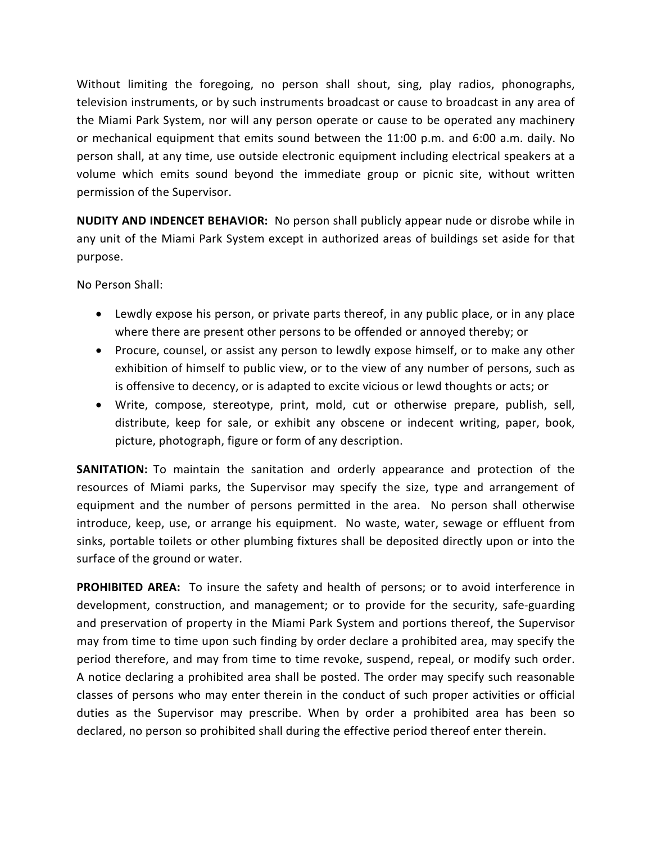Without limiting the foregoing, no person shall shout, sing, play radios, phonographs, television instruments, or by such instruments broadcast or cause to broadcast in any area of the Miami Park System, nor will any person operate or cause to be operated any machinery or mechanical equipment that emits sound between the 11:00 p.m. and 6:00 a.m. daily. No person shall, at any time, use outside electronic equipment including electrical speakers at a volume which emits sound beyond the immediate group or picnic site, without written permission of the Supervisor.

**NUDITY AND INDENCET BEHAVIOR:** No person shall publicly appear nude or disrobe while in any unit of the Miami Park System except in authorized areas of buildings set aside for that purpose.

No Person Shall:

- Lewdly expose his person, or private parts thereof, in any public place, or in any place where there are present other persons to be offended or annoyed thereby; or
- Procure, counsel, or assist any person to lewdly expose himself, or to make any other exhibition of himself to public view, or to the view of any number of persons, such as is offensive to decency, or is adapted to excite vicious or lewd thoughts or acts; or
- Write, compose, stereotype, print, mold, cut or otherwise prepare, publish, sell, distribute, keep for sale, or exhibit any obscene or indecent writing, paper, book, picture, photograph, figure or form of any description.

**SANITATION:** To maintain the sanitation and orderly appearance and protection of the resources of Miami parks, the Supervisor may specify the size, type and arrangement of equipment and the number of persons permitted in the area. No person shall otherwise introduce, keep, use, or arrange his equipment. No waste, water, sewage or effluent from sinks, portable toilets or other plumbing fixtures shall be deposited directly upon or into the surface of the ground or water.

**PROHIBITED AREA:** To insure the safety and health of persons; or to avoid interference in development, construction, and management; or to provide for the security, safe-guarding and preservation of property in the Miami Park System and portions thereof, the Supervisor may from time to time upon such finding by order declare a prohibited area, may specify the period therefore, and may from time to time revoke, suspend, repeal, or modify such order. A notice declaring a prohibited area shall be posted. The order may specify such reasonable classes of persons who may enter therein in the conduct of such proper activities or official duties as the Supervisor may prescribe. When by order a prohibited area has been so declared, no person so prohibited shall during the effective period thereof enter therein.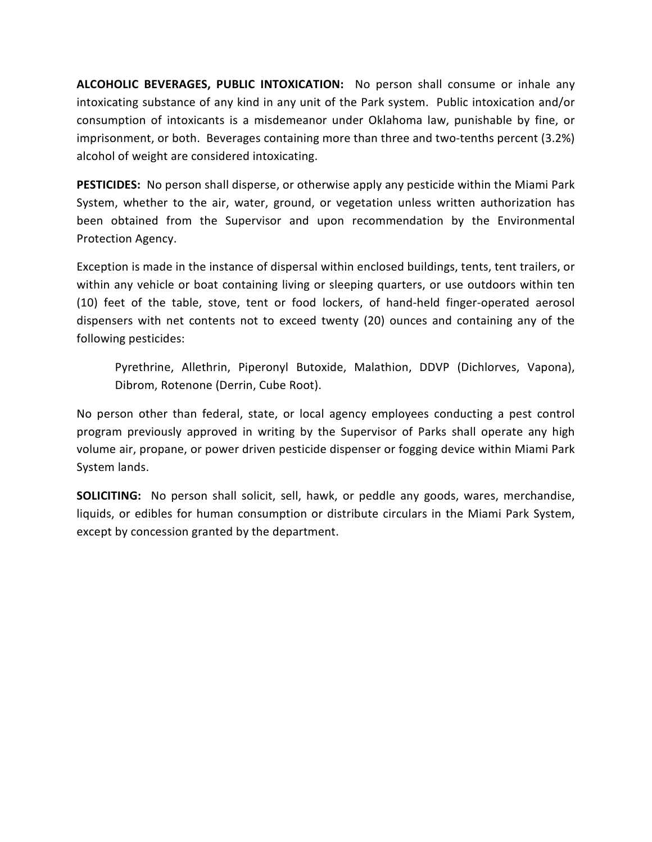**ALCOHOLIC BEVERAGES, PUBLIC INTOXICATION:** No person shall consume or inhale any intoxicating substance of any kind in any unit of the Park system. Public intoxication and/or consumption of intoxicants is a misdemeanor under Oklahoma law, punishable by fine, or imprisonment, or both. Beverages containing more than three and two-tenths percent (3.2%) alcohol of weight are considered intoxicating.

**PESTICIDES:** No person shall disperse, or otherwise apply any pesticide within the Miami Park System, whether to the air, water, ground, or vegetation unless written authorization has been obtained from the Supervisor and upon recommendation by the Environmental Protection Agency.

Exception is made in the instance of dispersal within enclosed buildings, tents, tent trailers, or within any vehicle or boat containing living or sleeping quarters, or use outdoors within ten (10) feet of the table, stove, tent or food lockers, of hand-held finger-operated aerosol dispensers with net contents not to exceed twenty (20) ounces and containing any of the following pesticides:

Pyrethrine, Allethrin, Piperonyl Butoxide, Malathion, DDVP (Dichlorves, Vapona), Dibrom, Rotenone (Derrin, Cube Root).

No person other than federal, state, or local agency employees conducting a pest control program previously approved in writing by the Supervisor of Parks shall operate any high volume air, propane, or power driven pesticide dispenser or fogging device within Miami Park System lands.

**SOLICITING:** No person shall solicit, sell, hawk, or peddle any goods, wares, merchandise, liquids, or edibles for human consumption or distribute circulars in the Miami Park System, except by concession granted by the department.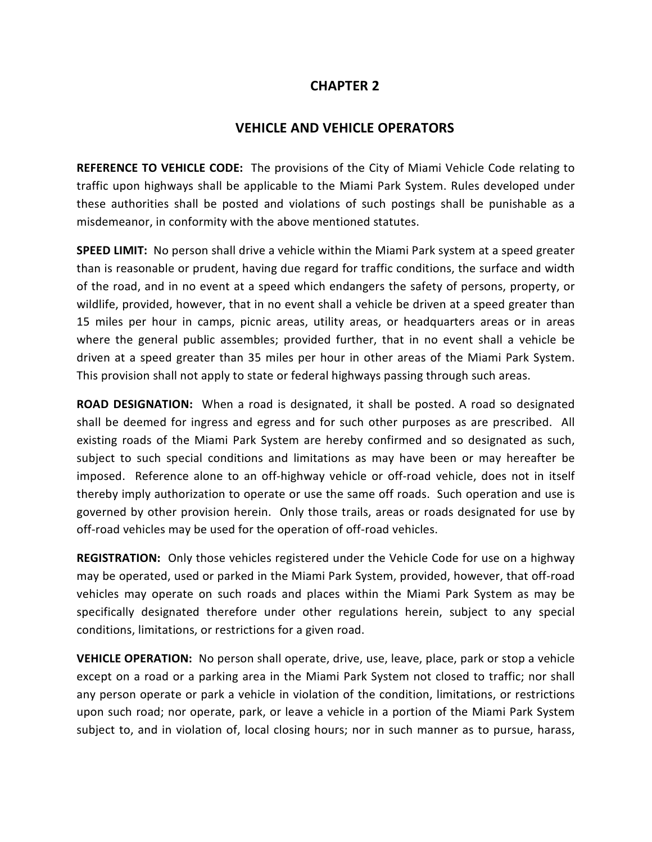#### **VEHICLE AND VEHICLE OPERATORS**

**REFERENCE TO VEHICLE CODE:** The provisions of the City of Miami Vehicle Code relating to traffic upon highways shall be applicable to the Miami Park System. Rules developed under these authorities shall be posted and violations of such postings shall be punishable as a misdemeanor, in conformity with the above mentioned statutes.

**SPEED LIMIT:** No person shall drive a vehicle within the Miami Park system at a speed greater than is reasonable or prudent, having due regard for traffic conditions, the surface and width of the road, and in no event at a speed which endangers the safety of persons, property, or wildlife, provided, however, that in no event shall a vehicle be driven at a speed greater than 15 miles per hour in camps, picnic areas, utility areas, or headquarters areas or in areas where the general public assembles; provided further, that in no event shall a vehicle be driven at a speed greater than 35 miles per hour in other areas of the Miami Park System. This provision shall not apply to state or federal highways passing through such areas.

**ROAD DESIGNATION:** When a road is designated, it shall be posted. A road so designated shall be deemed for ingress and egress and for such other purposes as are prescribed. All existing roads of the Miami Park System are hereby confirmed and so designated as such, subject to such special conditions and limitations as may have been or may hereafter be imposed. Reference alone to an off-highway vehicle or off-road vehicle, does not in itself thereby imply authorization to operate or use the same off roads. Such operation and use is governed by other provision herein. Only those trails, areas or roads designated for use by off-road vehicles may be used for the operation of off-road vehicles.

**REGISTRATION:** Only those vehicles registered under the Vehicle Code for use on a highway may be operated, used or parked in the Miami Park System, provided, however, that off-road vehicles may operate on such roads and places within the Miami Park System as may be specifically designated therefore under other regulations herein, subject to any special conditions, limitations, or restrictions for a given road.

**VEHICLE OPERATION:** No person shall operate, drive, use, leave, place, park or stop a vehicle except on a road or a parking area in the Miami Park System not closed to traffic; nor shall any person operate or park a vehicle in violation of the condition, limitations, or restrictions upon such road; nor operate, park, or leave a vehicle in a portion of the Miami Park System subject to, and in violation of, local closing hours; nor in such manner as to pursue, harass,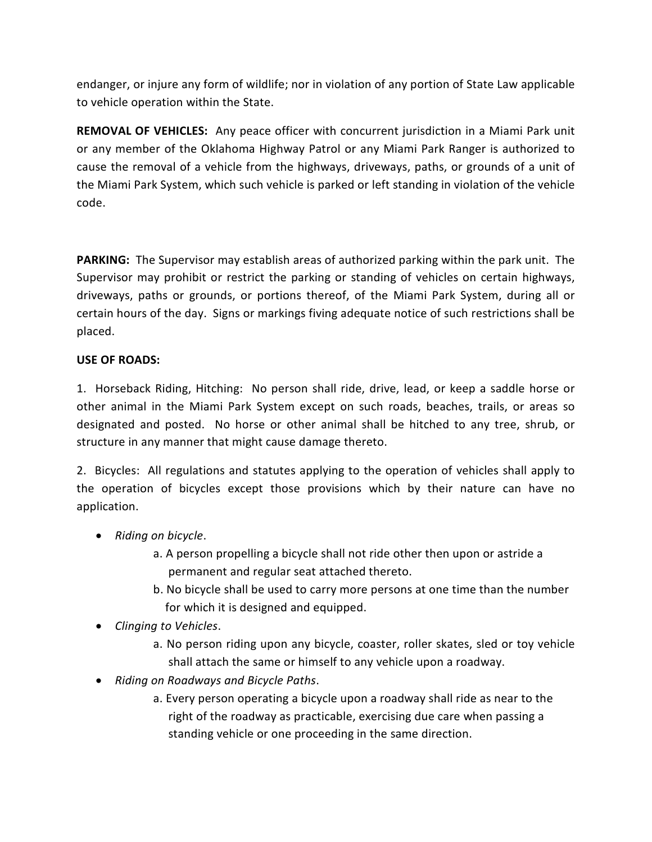endanger, or injure any form of wildlife; nor in violation of any portion of State Law applicable to vehicle operation within the State.

**REMOVAL OF VEHICLES:** Any peace officer with concurrent jurisdiction in a Miami Park unit or any member of the Oklahoma Highway Patrol or any Miami Park Ranger is authorized to cause the removal of a vehicle from the highways, driveways, paths, or grounds of a unit of the Miami Park System, which such vehicle is parked or left standing in violation of the vehicle code.

**PARKING:** The Supervisor may establish areas of authorized parking within the park unit. The Supervisor may prohibit or restrict the parking or standing of vehicles on certain highways, driveways, paths or grounds, or portions thereof, of the Miami Park System, during all or certain hours of the day. Signs or markings fiving adequate notice of such restrictions shall be placed.

#### **USE OF ROADS:**

1. Horseback Riding, Hitching: No person shall ride, drive, lead, or keep a saddle horse or other animal in the Miami Park System except on such roads, beaches, trails, or areas so designated and posted. No horse or other animal shall be hitched to any tree, shrub, or structure in any manner that might cause damage thereto.

2. Bicycles: All regulations and statutes applying to the operation of vehicles shall apply to the operation of bicycles except those provisions which by their nature can have no application.

- *Riding on bicycle*.
	- a. A person propelling a bicycle shall not ride other then upon or astride a permanent and regular seat attached thereto.
	- b. No bicycle shall be used to carry more persons at one time than the number for which it is designed and equipped.
- *Clinging to Vehicles*.
	- a. No person riding upon any bicycle, coaster, roller skates, sled or toy vehicle shall attach the same or himself to any vehicle upon a roadway.
- *Riding on Roadways and Bicycle Paths*.
	- a. Every person operating a bicycle upon a roadway shall ride as near to the right of the roadway as practicable, exercising due care when passing a standing vehicle or one proceeding in the same direction.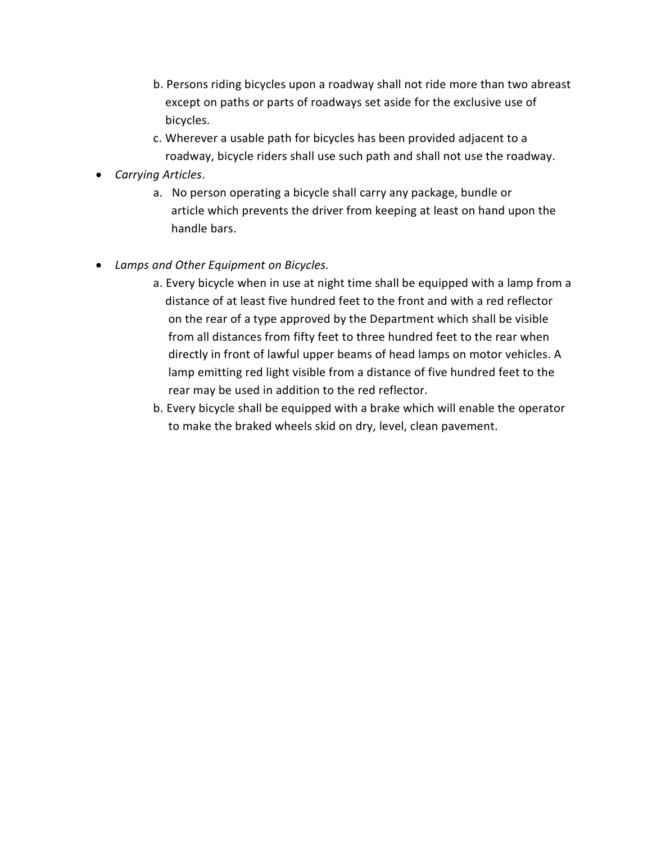- b. Persons riding bicycles upon a roadway shall not ride more than two abreast except on paths or parts of roadways set aside for the exclusive use of bicycles.
- c. Wherever a usable path for bicycles has been provided adjacent to a roadway, bicycle riders shall use such path and shall not use the roadway.
- *Carrying Articles*.
	- a. No person operating a bicycle shall carry any package, bundle or article which prevents the driver from keeping at least on hand upon the handle bars.
- *Lamps and Other Equipment on Bicycles.*
	- a. Every bicycle when in use at night time shall be equipped with a lamp from a distance of at least five hundred feet to the front and with a red reflector on the rear of a type approved by the Department which shall be visible from all distances from fifty feet to three hundred feet to the rear when directly in front of lawful upper beams of head lamps on motor vehicles. A lamp emitting red light visible from a distance of five hundred feet to the rear may be used in addition to the red reflector.
	- b. Every bicycle shall be equipped with a brake which will enable the operator to make the braked wheels skid on dry, level, clean pavement.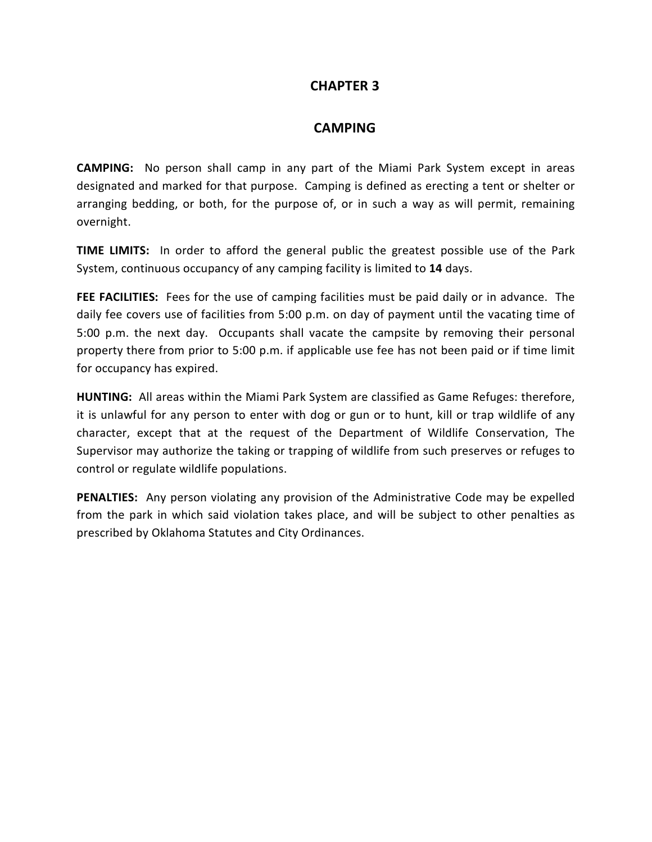#### **CAMPING**

**CAMPING:** No person shall camp in any part of the Miami Park System except in areas designated and marked for that purpose. Camping is defined as erecting a tent or shelter or arranging bedding, or both, for the purpose of, or in such a way as will permit, remaining overnight.

**TIME LIMITS:** In order to afford the general public the greatest possible use of the Park System, continuous occupancy of any camping facility is limited to **14** days.

**FEE FACILITIES:** Fees for the use of camping facilities must be paid daily or in advance. The daily fee covers use of facilities from 5:00 p.m. on day of payment until the vacating time of 5:00 p.m. the next day. Occupants shall vacate the campsite by removing their personal property there from prior to 5:00 p.m. if applicable use fee has not been paid or if time limit for occupancy has expired.

**HUNTING:** All areas within the Miami Park System are classified as Game Refuges: therefore, it is unlawful for any person to enter with dog or gun or to hunt, kill or trap wildlife of any character, except that at the request of the Department of Wildlife Conservation, The Supervisor may authorize the taking or trapping of wildlife from such preserves or refuges to control or regulate wildlife populations.

**PENALTIES:** Any person violating any provision of the Administrative Code may be expelled from the park in which said violation takes place, and will be subject to other penalties as prescribed by Oklahoma Statutes and City Ordinances.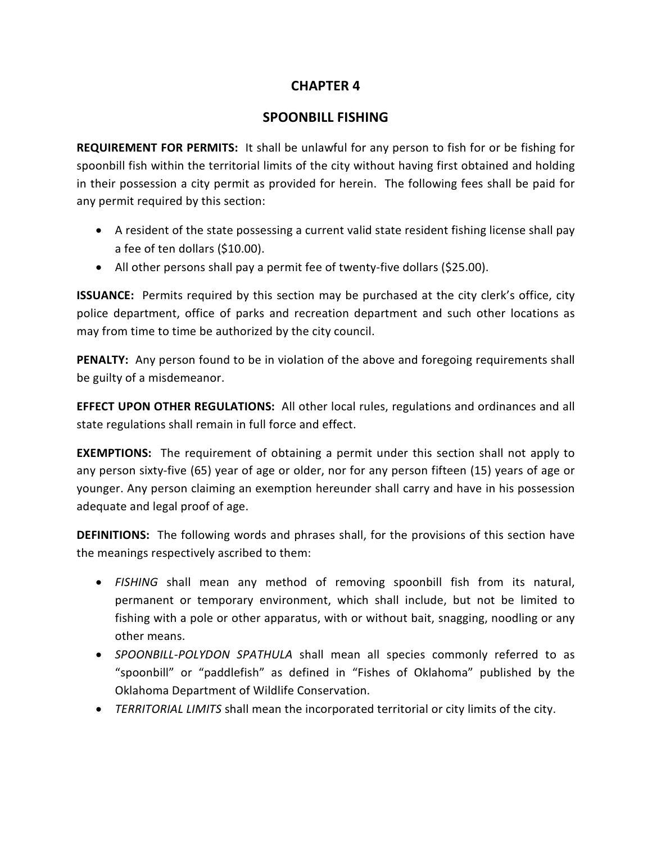# **SPOONBILL FISHING**

**REQUIREMENT FOR PERMITS:** It shall be unlawful for any person to fish for or be fishing for spoonbill fish within the territorial limits of the city without having first obtained and holding in their possession a city permit as provided for herein. The following fees shall be paid for any permit required by this section:

- A resident of the state possessing a current valid state resident fishing license shall pay a fee of ten dollars (\$10.00).
- All other persons shall pay a permit fee of twenty-five dollars (\$25.00).

**ISSUANCE:** Permits required by this section may be purchased at the city clerk's office, city police department, office of parks and recreation department and such other locations as may from time to time be authorized by the city council.

**PENALTY:** Any person found to be in violation of the above and foregoing requirements shall be guilty of a misdemeanor.

**EFFECT UPON OTHER REGULATIONS:** All other local rules, regulations and ordinances and all state regulations shall remain in full force and effect.

**EXEMPTIONS:** The requirement of obtaining a permit under this section shall not apply to any person sixty-five (65) year of age or older, nor for any person fifteen (15) years of age or younger. Any person claiming an exemption hereunder shall carry and have in his possession adequate and legal proof of age.

**DEFINITIONS:** The following words and phrases shall, for the provisions of this section have the meanings respectively ascribed to them:

- *FISHING* shall mean any method of removing spoonbill fish from its natural, permanent or temporary environment, which shall include, but not be limited to fishing with a pole or other apparatus, with or without bait, snagging, noodling or any other means.
- *SPOONBILL-POLYDON SPATHULA* shall mean all species commonly referred to as "spoonbill" or "paddlefish" as defined in "Fishes of Oklahoma" published by the Oklahoma Department of Wildlife Conservation.
- *TERRITORIAL LIMITS* shall mean the incorporated territorial or city limits of the city.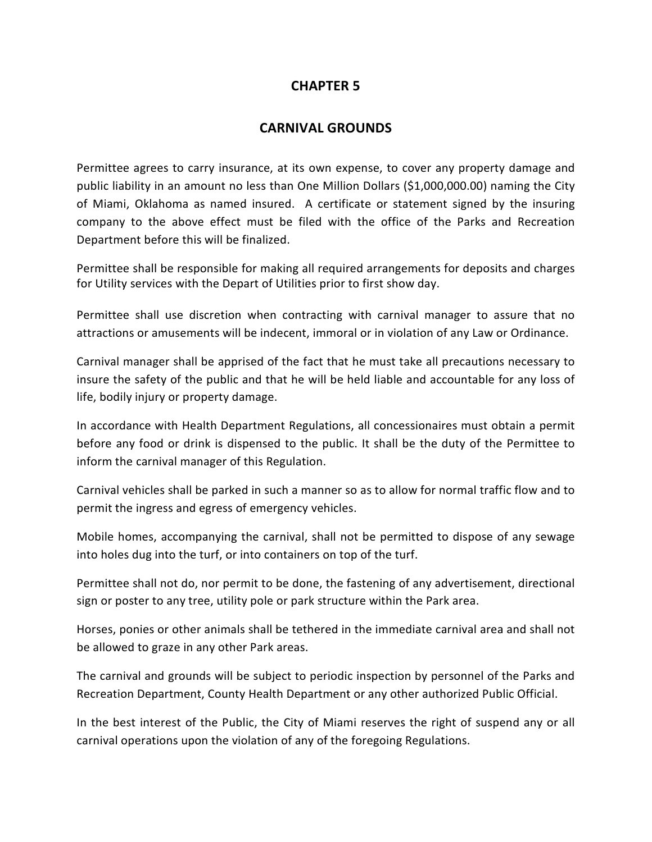# **CARNIVAL GROUNDS**

Permittee agrees to carry insurance, at its own expense, to cover any property damage and public liability in an amount no less than One Million Dollars (\$1,000,000.00) naming the City of Miami, Oklahoma as named insured. A certificate or statement signed by the insuring company to the above effect must be filed with the office of the Parks and Recreation Department before this will be finalized.

Permittee shall be responsible for making all required arrangements for deposits and charges for Utility services with the Depart of Utilities prior to first show day.

Permittee shall use discretion when contracting with carnival manager to assure that no attractions or amusements will be indecent, immoral or in violation of any Law or Ordinance.

Carnival manager shall be apprised of the fact that he must take all precautions necessary to insure the safety of the public and that he will be held liable and accountable for any loss of life, bodily injury or property damage.

In accordance with Health Department Regulations, all concessionaires must obtain a permit before any food or drink is dispensed to the public. It shall be the duty of the Permittee to inform the carnival manager of this Regulation.

Carnival vehicles shall be parked in such a manner so as to allow for normal traffic flow and to permit the ingress and egress of emergency vehicles.

Mobile homes, accompanying the carnival, shall not be permitted to dispose of any sewage into holes dug into the turf, or into containers on top of the turf.

Permittee shall not do, nor permit to be done, the fastening of any advertisement, directional sign or poster to any tree, utility pole or park structure within the Park area.

Horses, ponies or other animals shall be tethered in the immediate carnival area and shall not be allowed to graze in any other Park areas.

The carnival and grounds will be subject to periodic inspection by personnel of the Parks and Recreation Department, County Health Department or any other authorized Public Official.

In the best interest of the Public, the City of Miami reserves the right of suspend any or all carnival operations upon the violation of any of the foregoing Regulations.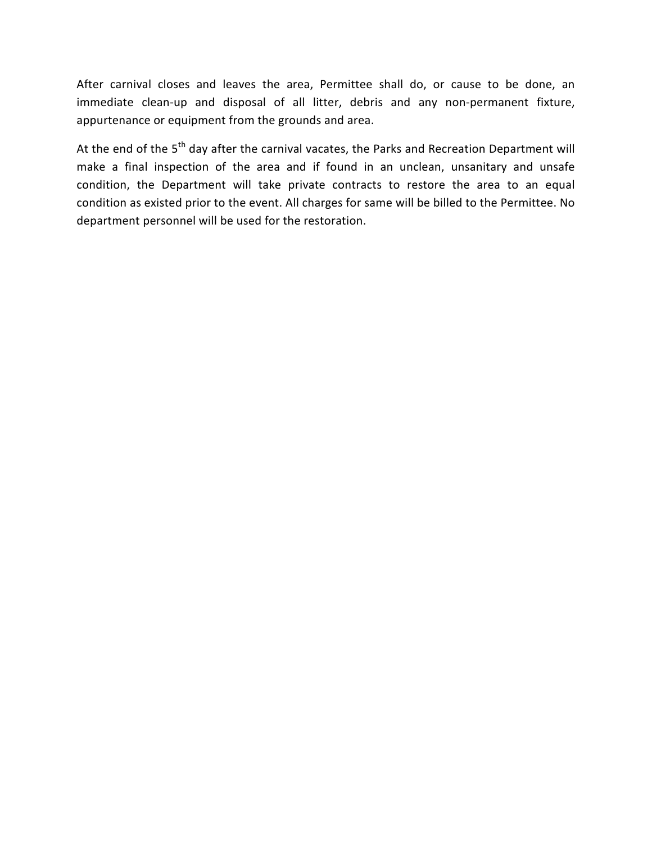After carnival closes and leaves the area, Permittee shall do, or cause to be done, an immediate clean-up and disposal of all litter, debris and any non-permanent fixture, appurtenance or equipment from the grounds and area.

At the end of the 5<sup>th</sup> day after the carnival vacates, the Parks and Recreation Department will make a final inspection of the area and if found in an unclean, unsanitary and unsafe condition, the Department will take private contracts to restore the area to an equal condition as existed prior to the event. All charges for same will be billed to the Permittee. No department personnel will be used for the restoration.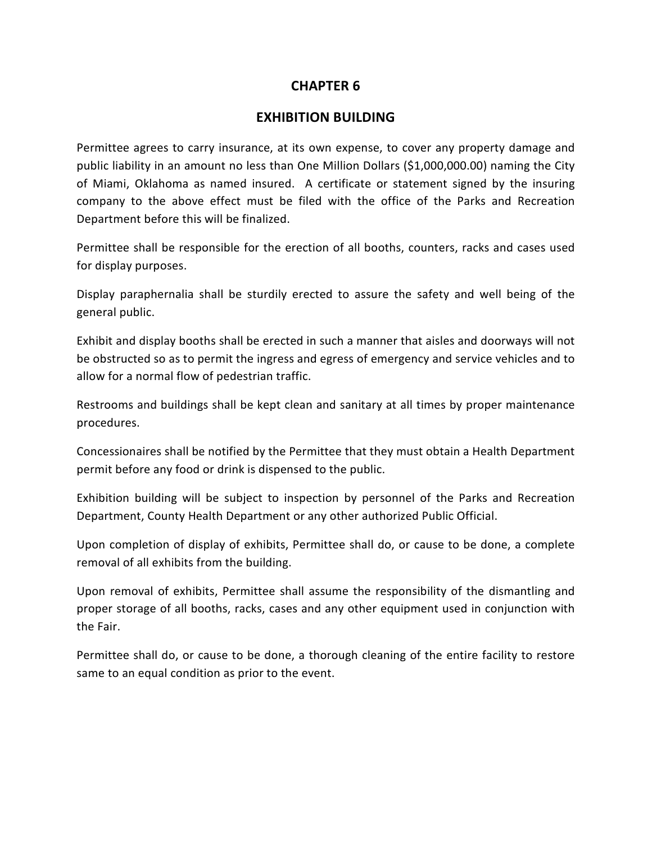#### **EXHIBITION BUILDING**

Permittee agrees to carry insurance, at its own expense, to cover any property damage and public liability in an amount no less than One Million Dollars (\$1,000,000.00) naming the City of Miami, Oklahoma as named insured. A certificate or statement signed by the insuring company to the above effect must be filed with the office of the Parks and Recreation Department before this will be finalized.

Permittee shall be responsible for the erection of all booths, counters, racks and cases used for display purposes.

Display paraphernalia shall be sturdily erected to assure the safety and well being of the general public.

Exhibit and display booths shall be erected in such a manner that aisles and doorways will not be obstructed so as to permit the ingress and egress of emergency and service vehicles and to allow for a normal flow of pedestrian traffic.

Restrooms and buildings shall be kept clean and sanitary at all times by proper maintenance procedures.

Concessionaires shall be notified by the Permittee that they must obtain a Health Department permit before any food or drink is dispensed to the public.

Exhibition building will be subject to inspection by personnel of the Parks and Recreation Department, County Health Department or any other authorized Public Official.

Upon completion of display of exhibits, Permittee shall do, or cause to be done, a complete removal of all exhibits from the building.

Upon removal of exhibits, Permittee shall assume the responsibility of the dismantling and proper storage of all booths, racks, cases and any other equipment used in conjunction with the Fair.

Permittee shall do, or cause to be done, a thorough cleaning of the entire facility to restore same to an equal condition as prior to the event.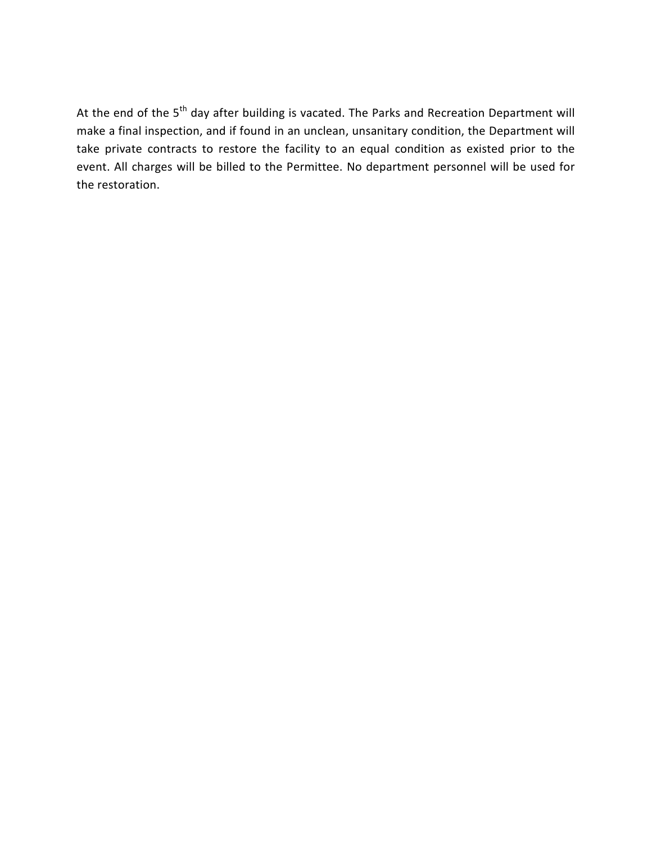At the end of the 5<sup>th</sup> day after building is vacated. The Parks and Recreation Department will make a final inspection, and if found in an unclean, unsanitary condition, the Department will take private contracts to restore the facility to an equal condition as existed prior to the event. All charges will be billed to the Permittee. No department personnel will be used for the restoration.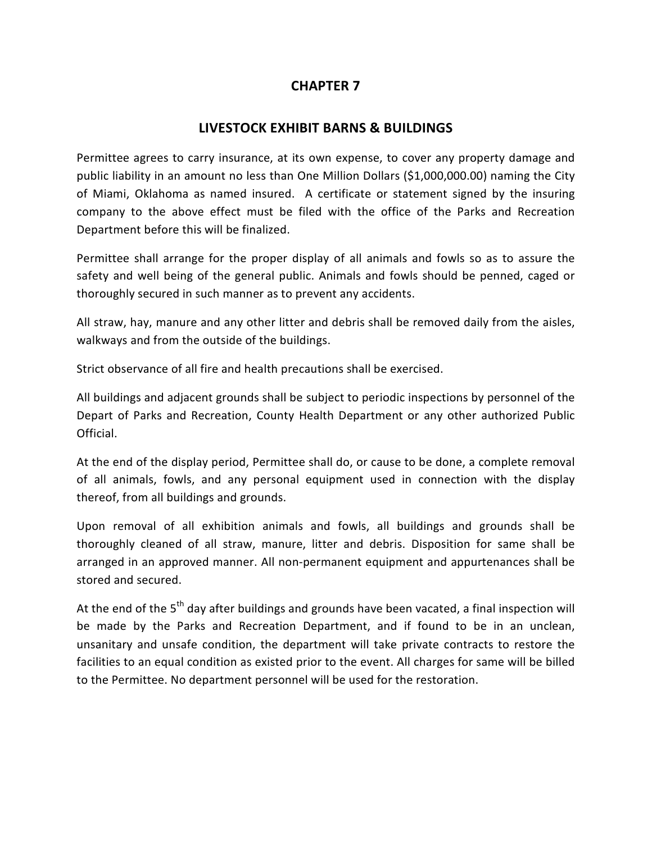# **LIVESTOCK EXHIBIT BARNS & BUILDINGS**

Permittee agrees to carry insurance, at its own expense, to cover any property damage and public liability in an amount no less than One Million Dollars (\$1,000,000.00) naming the City of Miami, Oklahoma as named insured. A certificate or statement signed by the insuring company to the above effect must be filed with the office of the Parks and Recreation Department before this will be finalized.

Permittee shall arrange for the proper display of all animals and fowls so as to assure the safety and well being of the general public. Animals and fowls should be penned, caged or thoroughly secured in such manner as to prevent any accidents.

All straw, hay, manure and any other litter and debris shall be removed daily from the aisles, walkways and from the outside of the buildings.

Strict observance of all fire and health precautions shall be exercised.

All buildings and adjacent grounds shall be subject to periodic inspections by personnel of the Depart of Parks and Recreation, County Health Department or any other authorized Public Official.

At the end of the display period, Permittee shall do, or cause to be done, a complete removal of all animals, fowls, and any personal equipment used in connection with the display thereof, from all buildings and grounds.

Upon removal of all exhibition animals and fowls, all buildings and grounds shall be thoroughly cleaned of all straw, manure, litter and debris. Disposition for same shall be arranged in an approved manner. All non-permanent equipment and appurtenances shall be stored and secured.

At the end of the 5<sup>th</sup> day after buildings and grounds have been vacated, a final inspection will be made by the Parks and Recreation Department, and if found to be in an unclean, unsanitary and unsafe condition, the department will take private contracts to restore the facilities to an equal condition as existed prior to the event. All charges for same will be billed to the Permittee. No department personnel will be used for the restoration.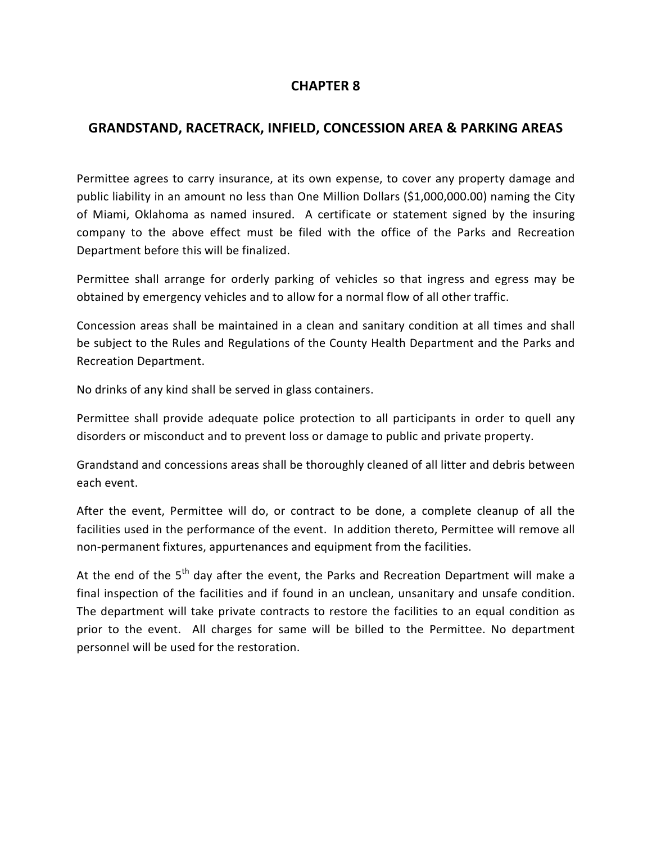# **GRANDSTAND, RACETRACK, INFIELD, CONCESSION AREA & PARKING AREAS**

Permittee agrees to carry insurance, at its own expense, to cover any property damage and public liability in an amount no less than One Million Dollars (\$1,000,000.00) naming the City of Miami, Oklahoma as named insured. A certificate or statement signed by the insuring company to the above effect must be filed with the office of the Parks and Recreation Department before this will be finalized.

Permittee shall arrange for orderly parking of vehicles so that ingress and egress may be obtained by emergency vehicles and to allow for a normal flow of all other traffic.

Concession areas shall be maintained in a clean and sanitary condition at all times and shall be subject to the Rules and Regulations of the County Health Department and the Parks and Recreation Department.

No drinks of any kind shall be served in glass containers.

Permittee shall provide adequate police protection to all participants in order to quell any disorders or misconduct and to prevent loss or damage to public and private property.

Grandstand and concessions areas shall be thoroughly cleaned of all litter and debris between each event.

After the event, Permittee will do, or contract to be done, a complete cleanup of all the facilities used in the performance of the event. In addition thereto, Permittee will remove all non-permanent fixtures, appurtenances and equipment from the facilities.

At the end of the  $5<sup>th</sup>$  day after the event, the Parks and Recreation Department will make a final inspection of the facilities and if found in an unclean, unsanitary and unsafe condition. The department will take private contracts to restore the facilities to an equal condition as prior to the event. All charges for same will be billed to the Permittee. No department personnel will be used for the restoration.